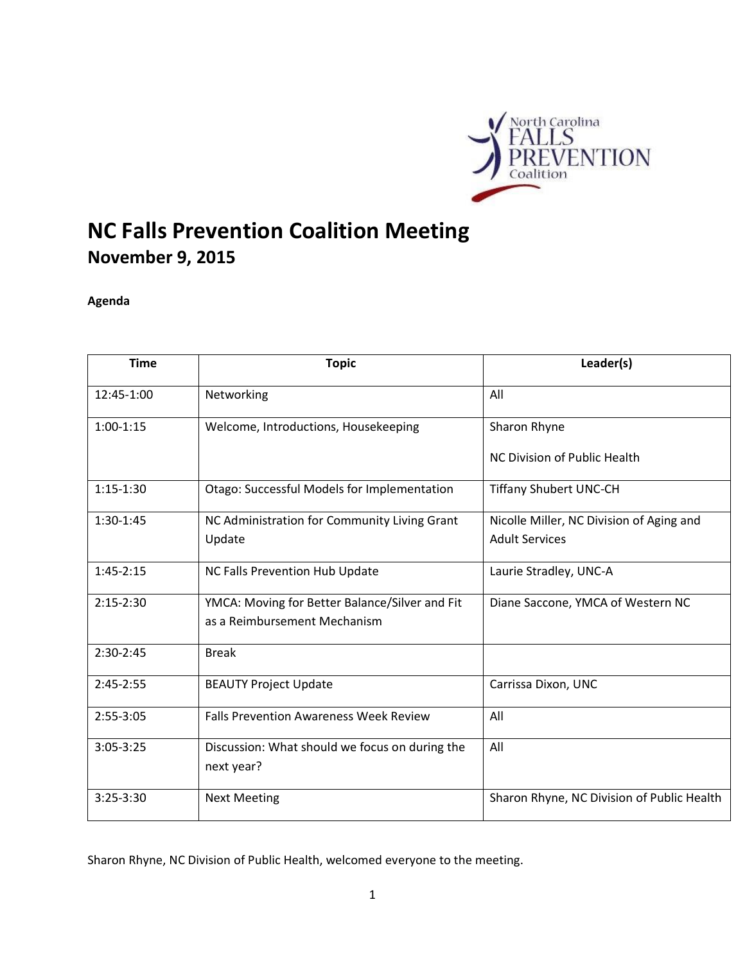

# **NC Falls Prevention Coalition Meeting November 9, 2015**

## **Agenda**

| <b>Time</b> | <b>Topic</b>                                                 | Leader(s)                                  |
|-------------|--------------------------------------------------------------|--------------------------------------------|
| 12:45-1:00  | Networking                                                   | All                                        |
| $1:00-1:15$ | Welcome, Introductions, Housekeeping                         | Sharon Rhyne                               |
|             |                                                              | NC Division of Public Health               |
| $1:15-1:30$ | Otago: Successful Models for Implementation                  | <b>Tiffany Shubert UNC-CH</b>              |
| 1:30-1:45   | NC Administration for Community Living Grant                 | Nicolle Miller, NC Division of Aging and   |
|             | Update                                                       | <b>Adult Services</b>                      |
| $1:45-2:15$ | NC Falls Prevention Hub Update                               | Laurie Stradley, UNC-A                     |
| $2:15-2:30$ | YMCA: Moving for Better Balance/Silver and Fit               | Diane Saccone, YMCA of Western NC          |
|             | as a Reimbursement Mechanism                                 |                                            |
| 2:30-2:45   | <b>Break</b>                                                 |                                            |
| $2:45-2:55$ | <b>BEAUTY Project Update</b>                                 | Carrissa Dixon, UNC                        |
| 2:55-3:05   | <b>Falls Prevention Awareness Week Review</b>                | All                                        |
| $3:05-3:25$ | Discussion: What should we focus on during the<br>next year? | All                                        |
| $3:25-3:30$ | <b>Next Meeting</b>                                          | Sharon Rhyne, NC Division of Public Health |

Sharon Rhyne, NC Division of Public Health, welcomed everyone to the meeting.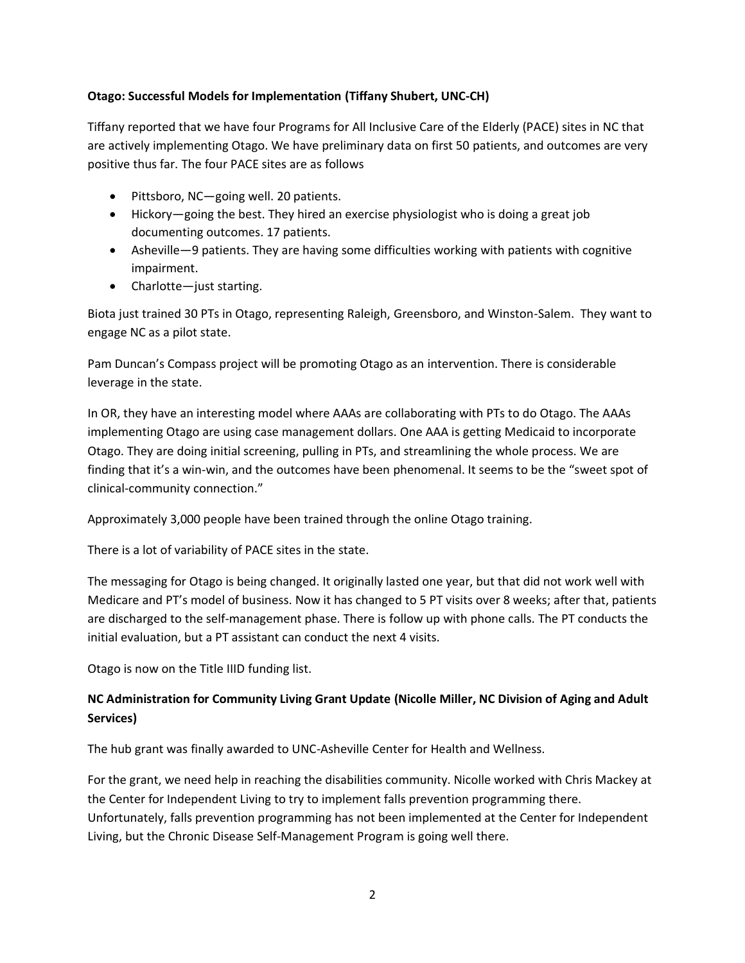## **Otago: Successful Models for Implementation (Tiffany Shubert, UNC-CH)**

Tiffany reported that we have four Programs for All Inclusive Care of the Elderly (PACE) sites in NC that are actively implementing Otago. We have preliminary data on first 50 patients, and outcomes are very positive thus far. The four PACE sites are as follows

- Pittsboro, NC—going well. 20 patients.
- Hickory—going the best. They hired an exercise physiologist who is doing a great job documenting outcomes. 17 patients.
- Asheville—9 patients. They are having some difficulties working with patients with cognitive impairment.
- Charlotte—just starting.

Biota just trained 30 PTs in Otago, representing Raleigh, Greensboro, and Winston-Salem. They want to engage NC as a pilot state.

Pam Duncan's Compass project will be promoting Otago as an intervention. There is considerable leverage in the state.

In OR, they have an interesting model where AAAs are collaborating with PTs to do Otago. The AAAs implementing Otago are using case management dollars. One AAA is getting Medicaid to incorporate Otago. They are doing initial screening, pulling in PTs, and streamlining the whole process. We are finding that it's a win-win, and the outcomes have been phenomenal. It seems to be the "sweet spot of clinical-community connection."

Approximately 3,000 people have been trained through the online Otago training.

There is a lot of variability of PACE sites in the state.

The messaging for Otago is being changed. It originally lasted one year, but that did not work well with Medicare and PT's model of business. Now it has changed to 5 PT visits over 8 weeks; after that, patients are discharged to the self-management phase. There is follow up with phone calls. The PT conducts the initial evaluation, but a PT assistant can conduct the next 4 visits.

Otago is now on the Title IIID funding list.

## **NC Administration for Community Living Grant Update (Nicolle Miller, NC Division of Aging and Adult Services)**

The hub grant was finally awarded to UNC-Asheville Center for Health and Wellness.

For the grant, we need help in reaching the disabilities community. Nicolle worked with Chris Mackey at the Center for Independent Living to try to implement falls prevention programming there. Unfortunately, falls prevention programming has not been implemented at the Center for Independent Living, but the Chronic Disease Self-Management Program is going well there.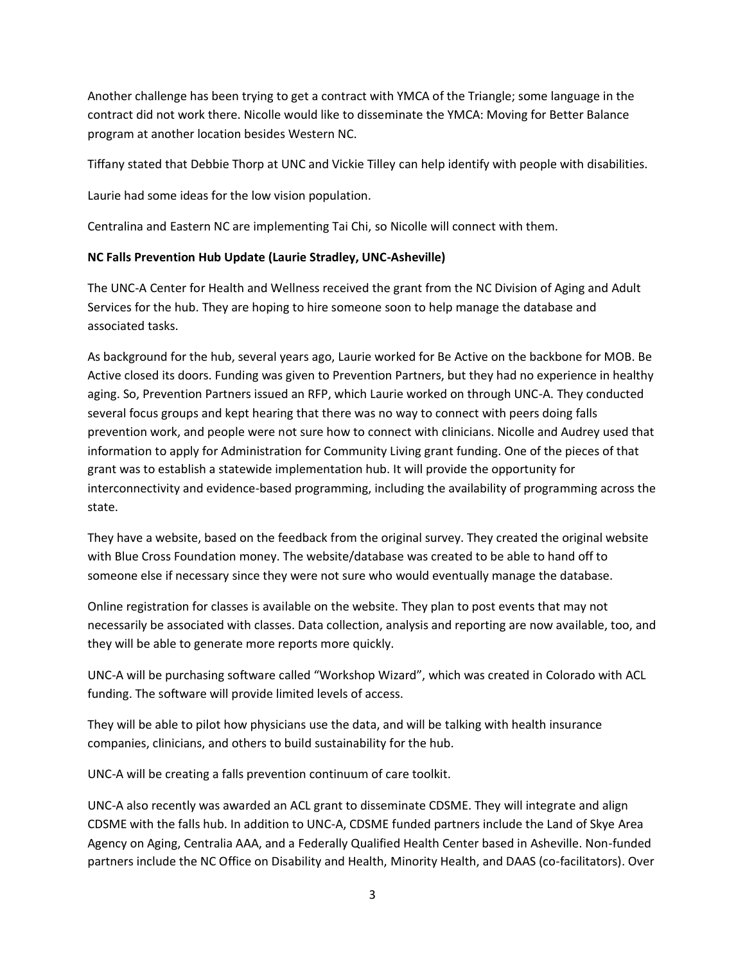Another challenge has been trying to get a contract with YMCA of the Triangle; some language in the contract did not work there. Nicolle would like to disseminate the YMCA: Moving for Better Balance program at another location besides Western NC.

Tiffany stated that Debbie Thorp at UNC and Vickie Tilley can help identify with people with disabilities.

Laurie had some ideas for the low vision population.

Centralina and Eastern NC are implementing Tai Chi, so Nicolle will connect with them.

## **NC Falls Prevention Hub Update (Laurie Stradley, UNC-Asheville)**

The UNC-A Center for Health and Wellness received the grant from the NC Division of Aging and Adult Services for the hub. They are hoping to hire someone soon to help manage the database and associated tasks.

As background for the hub, several years ago, Laurie worked for Be Active on the backbone for MOB. Be Active closed its doors. Funding was given to Prevention Partners, but they had no experience in healthy aging. So, Prevention Partners issued an RFP, which Laurie worked on through UNC-A. They conducted several focus groups and kept hearing that there was no way to connect with peers doing falls prevention work, and people were not sure how to connect with clinicians. Nicolle and Audrey used that information to apply for Administration for Community Living grant funding. One of the pieces of that grant was to establish a statewide implementation hub. It will provide the opportunity for interconnectivity and evidence-based programming, including the availability of programming across the state.

They have a website, based on the feedback from the original survey. They created the original website with Blue Cross Foundation money. The website/database was created to be able to hand off to someone else if necessary since they were not sure who would eventually manage the database.

Online registration for classes is available on the website. They plan to post events that may not necessarily be associated with classes. Data collection, analysis and reporting are now available, too, and they will be able to generate more reports more quickly.

UNC-A will be purchasing software called "Workshop Wizard", which was created in Colorado with ACL funding. The software will provide limited levels of access.

They will be able to pilot how physicians use the data, and will be talking with health insurance companies, clinicians, and others to build sustainability for the hub.

UNC-A will be creating a falls prevention continuum of care toolkit.

UNC-A also recently was awarded an ACL grant to disseminate CDSME. They will integrate and align CDSME with the falls hub. In addition to UNC-A, CDSME funded partners include the Land of Skye Area Agency on Aging, Centralia AAA, and a Federally Qualified Health Center based in Asheville. Non-funded partners include the NC Office on Disability and Health, Minority Health, and DAAS (co-facilitators). Over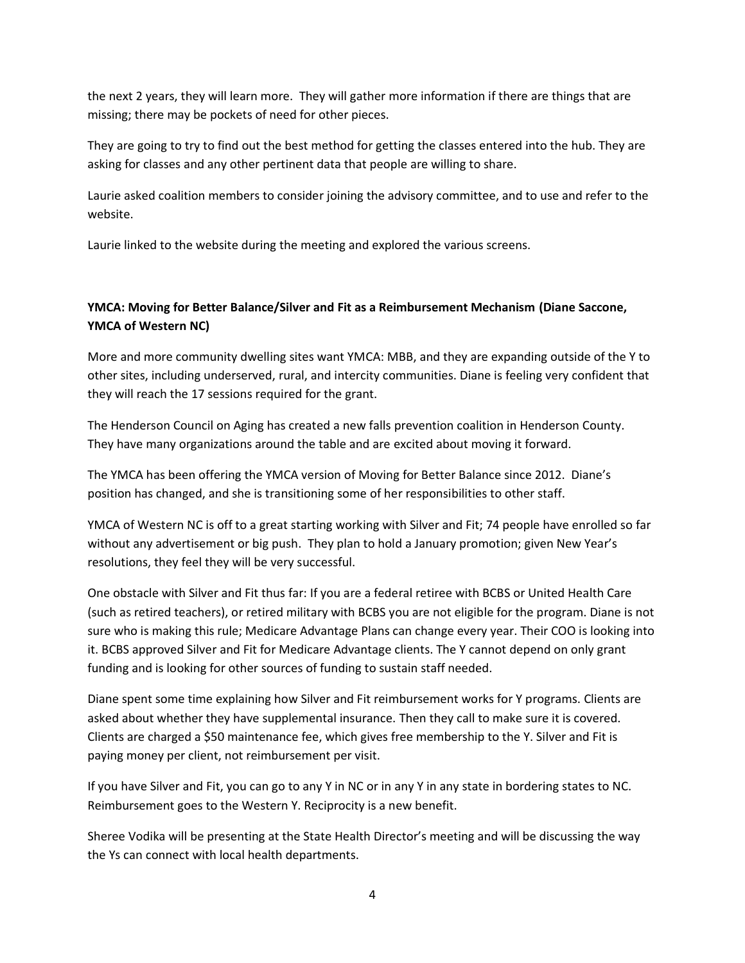the next 2 years, they will learn more. They will gather more information if there are things that are missing; there may be pockets of need for other pieces.

They are going to try to find out the best method for getting the classes entered into the hub. They are asking for classes and any other pertinent data that people are willing to share.

Laurie asked coalition members to consider joining the advisory committee, and to use and refer to the website.

Laurie linked to the website during the meeting and explored the various screens.

## **YMCA: Moving for Better Balance/Silver and Fit as a Reimbursement Mechanism (Diane Saccone, YMCA of Western NC)**

More and more community dwelling sites want YMCA: MBB, and they are expanding outside of the Y to other sites, including underserved, rural, and intercity communities. Diane is feeling very confident that they will reach the 17 sessions required for the grant.

The Henderson Council on Aging has created a new falls prevention coalition in Henderson County. They have many organizations around the table and are excited about moving it forward.

The YMCA has been offering the YMCA version of Moving for Better Balance since 2012. Diane's position has changed, and she is transitioning some of her responsibilities to other staff.

YMCA of Western NC is off to a great starting working with Silver and Fit; 74 people have enrolled so far without any advertisement or big push. They plan to hold a January promotion; given New Year's resolutions, they feel they will be very successful.

One obstacle with Silver and Fit thus far: If you are a federal retiree with BCBS or United Health Care (such as retired teachers), or retired military with BCBS you are not eligible for the program. Diane is not sure who is making this rule; Medicare Advantage Plans can change every year. Their COO is looking into it. BCBS approved Silver and Fit for Medicare Advantage clients. The Y cannot depend on only grant funding and is looking for other sources of funding to sustain staff needed.

Diane spent some time explaining how Silver and Fit reimbursement works for Y programs. Clients are asked about whether they have supplemental insurance. Then they call to make sure it is covered. Clients are charged a \$50 maintenance fee, which gives free membership to the Y. Silver and Fit is paying money per client, not reimbursement per visit.

If you have Silver and Fit, you can go to any Y in NC or in any Y in any state in bordering states to NC. Reimbursement goes to the Western Y. Reciprocity is a new benefit.

Sheree Vodika will be presenting at the State Health Director's meeting and will be discussing the way the Ys can connect with local health departments.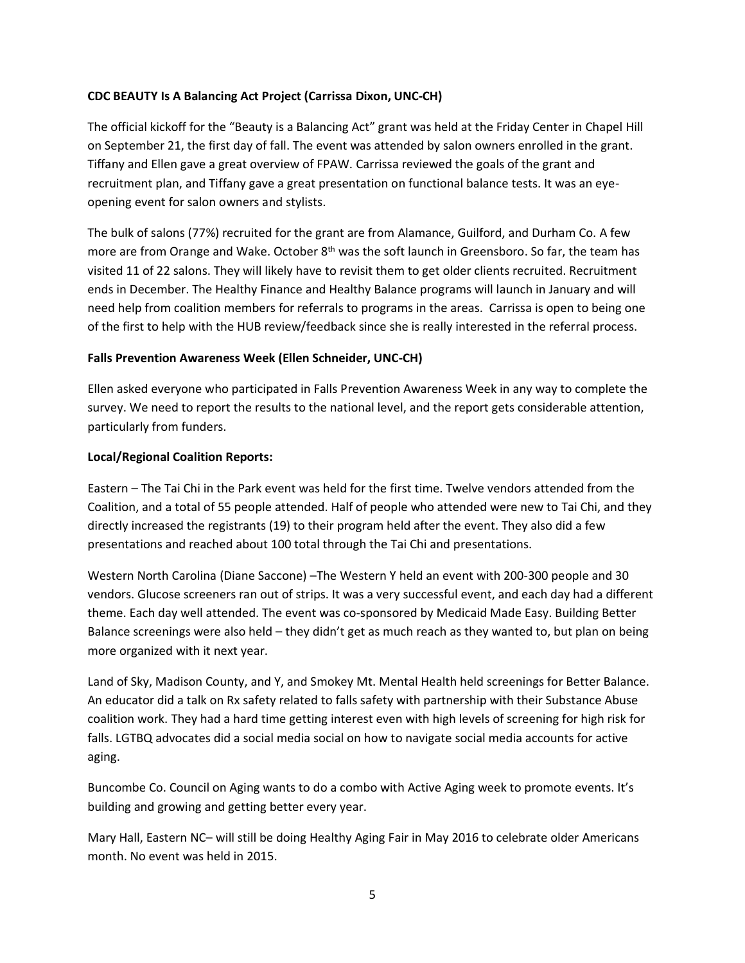## **CDC BEAUTY Is A Balancing Act Project (Carrissa Dixon, UNC-CH)**

The official kickoff for the "Beauty is a Balancing Act" grant was held at the Friday Center in Chapel Hill on September 21, the first day of fall. The event was attended by salon owners enrolled in the grant. Tiffany and Ellen gave a great overview of FPAW. Carrissa reviewed the goals of the grant and recruitment plan, and Tiffany gave a great presentation on functional balance tests. It was an eyeopening event for salon owners and stylists.

The bulk of salons (77%) recruited for the grant are from Alamance, Guilford, and Durham Co. A few more are from Orange and Wake. October 8<sup>th</sup> was the soft launch in Greensboro. So far, the team has visited 11 of 22 salons. They will likely have to revisit them to get older clients recruited. Recruitment ends in December. The Healthy Finance and Healthy Balance programs will launch in January and will need help from coalition members for referrals to programs in the areas. Carrissa is open to being one of the first to help with the HUB review/feedback since she is really interested in the referral process.

## **Falls Prevention Awareness Week (Ellen Schneider, UNC-CH)**

Ellen asked everyone who participated in Falls Prevention Awareness Week in any way to complete the survey. We need to report the results to the national level, and the report gets considerable attention, particularly from funders.

## **Local/Regional Coalition Reports:**

Eastern – The Tai Chi in the Park event was held for the first time. Twelve vendors attended from the Coalition, and a total of 55 people attended. Half of people who attended were new to Tai Chi, and they directly increased the registrants (19) to their program held after the event. They also did a few presentations and reached about 100 total through the Tai Chi and presentations.

Western North Carolina (Diane Saccone) –The Western Y held an event with 200-300 people and 30 vendors. Glucose screeners ran out of strips. It was a very successful event, and each day had a different theme. Each day well attended. The event was co-sponsored by Medicaid Made Easy. Building Better Balance screenings were also held – they didn't get as much reach as they wanted to, but plan on being more organized with it next year.

Land of Sky, Madison County, and Y, and Smokey Mt. Mental Health held screenings for Better Balance. An educator did a talk on Rx safety related to falls safety with partnership with their Substance Abuse coalition work. They had a hard time getting interest even with high levels of screening for high risk for falls. LGTBQ advocates did a social media social on how to navigate social media accounts for active aging.

Buncombe Co. Council on Aging wants to do a combo with Active Aging week to promote events. It's building and growing and getting better every year.

Mary Hall, Eastern NC– will still be doing Healthy Aging Fair in May 2016 to celebrate older Americans month. No event was held in 2015.